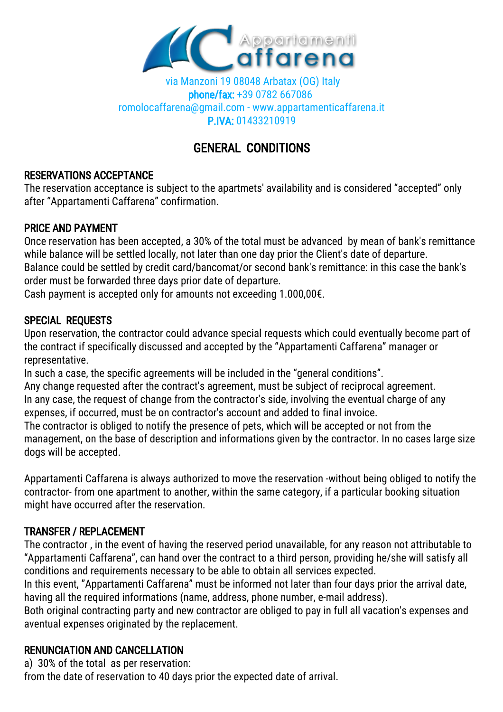

 via Manzoni 19 08048 Arbatax (OG) Italy phone/fax: +39 0782 667086 romolocaffarena@gmail.com - www.appartamenticaffarena.it P.IVA: 01433210919

# GENERAL CONDITIONS

#### RESERVATIONS ACCEPTANCE

The reservation acceptance is subject to the apartmets' availability and is considered "accepted" only after "Appartamenti Caffarena" confirmation.

### PRICE AND PAYMENT

Once reservation has been accepted, a 30% of the total must be advanced by mean of bank's remittance while balance will be settled locally, not later than one day prior the Client's date of departure. Balance could be settled by credit card/bancomat/or second bank's remittance: in this case the bank's order must be forwarded three days prior date of departure.

Cash payment is accepted only for amounts not exceeding 1.000,00€.

# SPECIAL REQUESTS

Upon reservation, the contractor could advance special requests which could eventually become part of the contract if specifically discussed and accepted by the "Appartamenti Caffarena" manager or representative.

In such a case, the specific agreements will be included in the "general conditions".

Any change requested after the contract's agreement, must be subject of reciprocal agreement. In any case, the request of change from the contractor's side, involving the eventual charge of any expenses, if occurred, must be on contractor's account and added to final invoice.

The contractor is obliged to notify the presence of pets, which will be accepted or not from the management, on the base of description and informations given by the contractor. In no cases large size dogs will be accepted.

Appartamenti Caffarena is always authorized to move the reservation -without being obliged to notify the contractor- from one apartment to another, within the same category, if a particular booking situation might have occurred after the reservation.

# TRANSFER / REPLACEMENT

The contractor , in the event of having the reserved period unavailable, for any reason not attributable to "Appartamenti Caffarena", can hand over the contract to a third person, providing he/she will satisfy all conditions and requirements necessary to be able to obtain all services expected.

In this event, "Appartamenti Caffarena" must be informed not later than four days prior the arrival date, having all the required informations (name, address, phone number, e-mail address).

Both original contracting party and new contractor are obliged to pay in full all vacation's expenses and aventual expenses originated by the replacement.

# RENUNCIATION AND CANCELLATION

a) 30% of the total as per reservation:

from the date of reservation to 40 days prior the expected date of arrival.